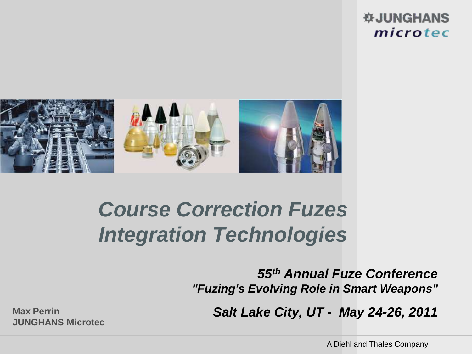#### **WJUNGHANS** microtec



# *Course Correction Fuzes Integration Technologies*

*55th Annual Fuze Conference "Fuzing's Evolving Role in Smart Weapons"*

**Max Perrin** *Salt Lake City, UT - May 24-26, 2011*

**JUNGHANS Microtec**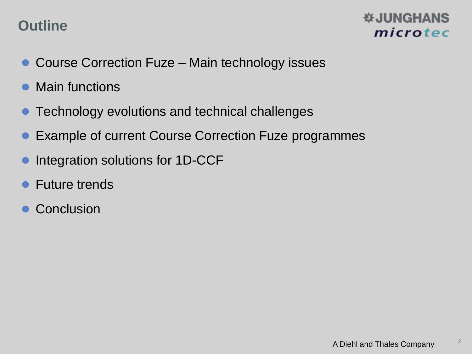# **Outline**

- Course Correction Fuze Main technology issues
- Main functions
- **Technology evolutions and technical challenges**
- Example of current Course Correction Fuze programmes
- Integration solutions for 1D-CCF
- **Future trends**
- **Conclusion**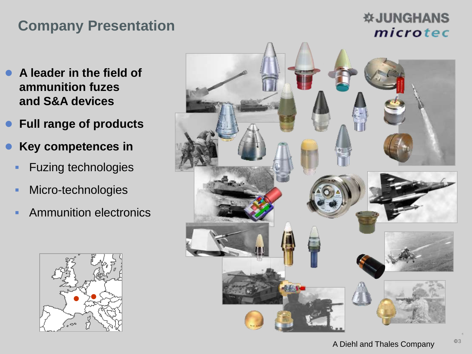# **Company Presentation**

- **A leader in the field of ammunition fuzes and S&A devices**
- **Full range of products**
- **Key competences in** 
	- **Fuzing technologies**
	- **Micro-technologies**
	- **Ammunition electronics**



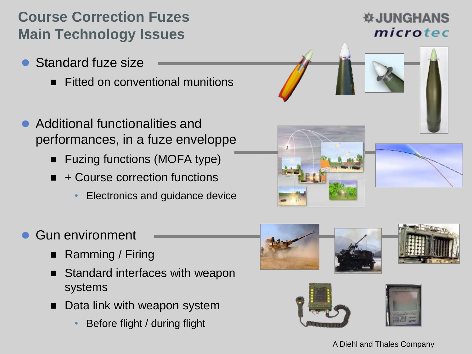# **Course Correction Fuzes Main Technology Issues**

- Standard fuze size
	- **Fitted on conventional munitions**
- Additional functionalities and performances, in a fuze enveloppe
	- Fuzing functions (MOFA type)
	- $\blacksquare$  + Course correction functions
		- Electronics and guidance device







- Gun environment
	- Ramming / Firing
	- Standard interfaces with weapon systems
	- Data link with weapon system
		- Before flight / during flight





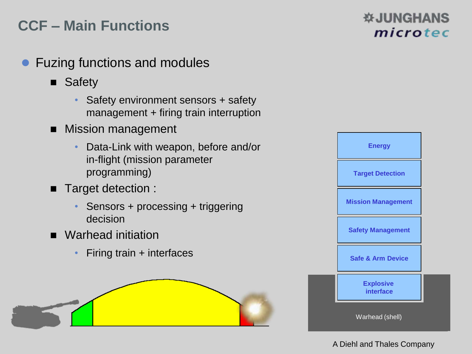# **CCF – Main Functions**

- Fuzing functions and modules
	- **B** Safety
		- Safety environment sensors + safety management + firing train interruption
	- Mission management
		- Data-Link with weapon, before and/or in-flight (mission parameter programming)
	- Target detection :
		- Sensors + processing + triggering decision
	- Warhead initiation
		- Firing train + interfaces





#### **WJUNGHANS** microtec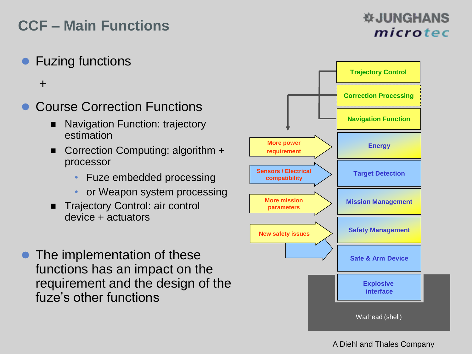# **CCF – Main Functions**

**• Fuzing functions** 

+

- Course Correction Functions
	- Navigation Function: trajectory estimation
	- Correction Computing: algorithm + processor
		- Fuze embedded processing
		- or Weapon system processing
	- **Trajectory Control: air control** device + actuators
- The implementation of these functions has an impact on the requirement and the design of the fuze's other functions

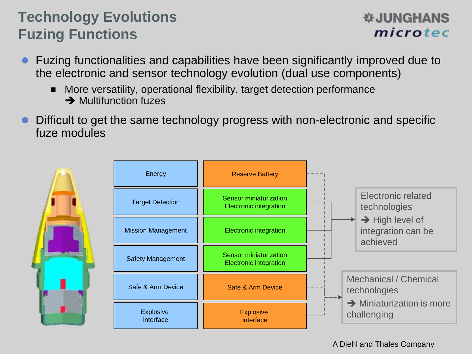# **Technology Evolutions Fuzing Functions**

- Fuzing functionalities and capabilities have been significantly improved due to the electronic and sensor technology evolution (dual use components)
	- More versatility, operational flexibility, target detection performance **→ Multifunction fuzes**
- Difficult to get the same technology progress with non-electronic and specific fuze modules



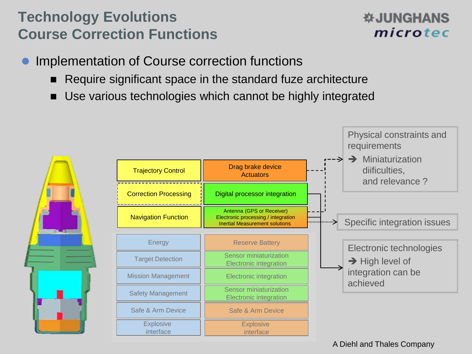# **Technology Evolutions Course Correction Functions**

- Implementation of Course correction functions
	- Require significant space in the standard fuze architecture
	- Use various technologies which cannot be highly integrated

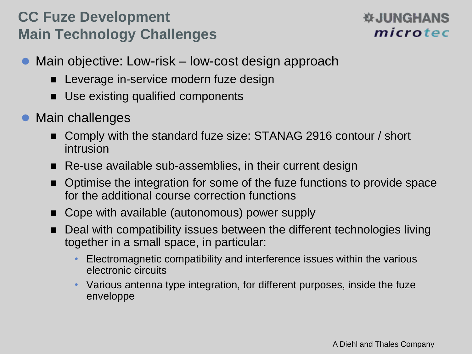# **CC Fuze Development Main Technology Challenges**

- Main objective: Low-risk low-cost design approach
	- Leverage in-service modern fuze design
	- Use existing qualified components
- Main challenges
	- Comply with the standard fuze size: STANAG 2916 contour / short intrusion
	- Re-use available sub-assemblies, in their current design
	- Optimise the integration for some of the fuze functions to provide space for the additional course correction functions
	- Cope with available (autonomous) power supply
	- Deal with compatibility issues between the different technologies living together in a small space, in particular:
		- Electromagnetic compatibility and interference issues within the various electronic circuits
		- Various antenna type integration, for different purposes, inside the fuze enveloppe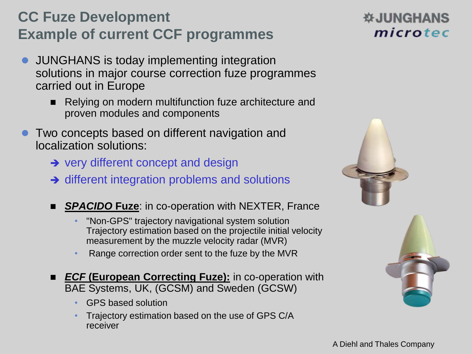# **CC Fuze Development Example of current CCF programmes**

- JUNGHANS is today implementing integration solutions in major course correction fuze programmes carried out in Europe
	- Relying on modern multifunction fuze architecture and proven modules and components
- Two concepts based on different navigation and localization solutions:
	- $\rightarrow$  very different concept and design
	- $\rightarrow$  different integration problems and solutions
	- *SPACIDO* **Fuze**: in co-operation with NEXTER, France
		- "Non-GPS" trajectory navigational system solution Trajectory estimation based on the projectile initial velocity measurement by the muzzle velocity radar (MVR)
		- Range correction order sent to the fuze by the MVR
	- **ECF** (European Correcting Fuze): in co-operation with BAE Systems, UK, (GCSM) and Sweden (GCSW)
		- GPS based solution
		- Trajectory estimation based on the use of GPS C/A receiver



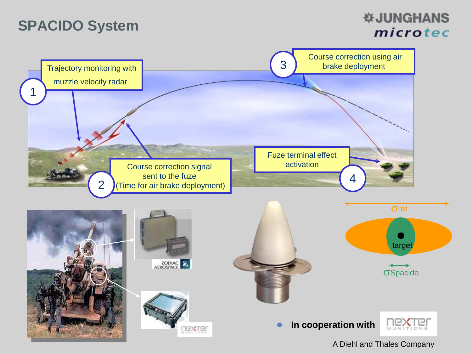# **SPACIDO System**

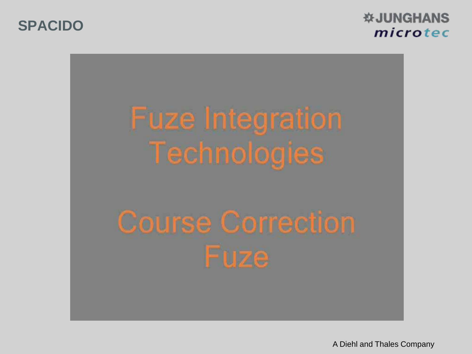**SPACIDO**

**WJUNGHANS** microtec

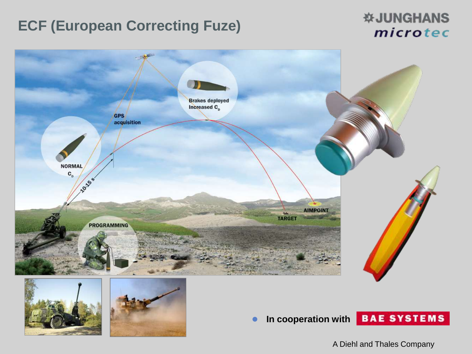# **ECF (European Correcting Fuze)**

#### *W***JUNGHANS** microtec

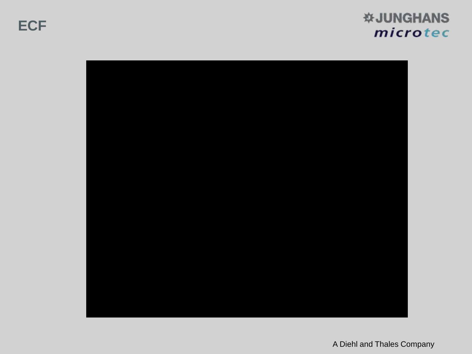

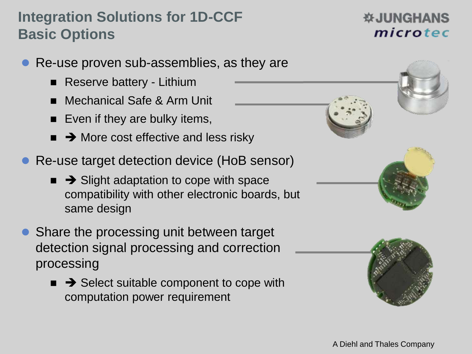# **Integration Solutions for 1D-CCF Basic Options**

- Re-use proven sub-assemblies, as they are
	- **Reserve battery Lithium**
	- Mechanical Safe & Arm Unit
	- Even if they are bulky items,
	- $\rightarrow$  More cost effective and less risky
- Re-use target detection device (HoB sensor)
	- $\blacksquare$   $\rightarrow$  Slight adaptation to cope with space compatibility with other electronic boards, but same design
- Share the processing unit between target detection signal processing and correction processing
	- $\rightarrow$  Select suitable component to cope with computation power requirement





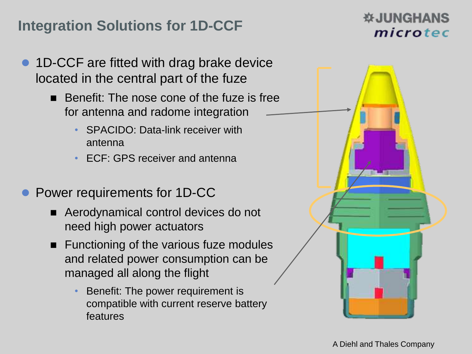# **Integration Solutions for 1D-CCF**

- 1D-CCF are fitted with drag brake device located in the central part of the fuze
	- $\blacksquare$  Benefit: The nose cone of the fuze is free for antenna and radome integration
		- SPACIDO: Data-link receiver with antenna
		- ECF: GPS receiver and antenna
- Power requirements for 1D-CC
	- Aerodynamical control devices do not need high power actuators
	- **Functioning of the various fuze modules** and related power consumption can be managed all along the flight
		- Benefit: The power requirement is compatible with current reserve battery features

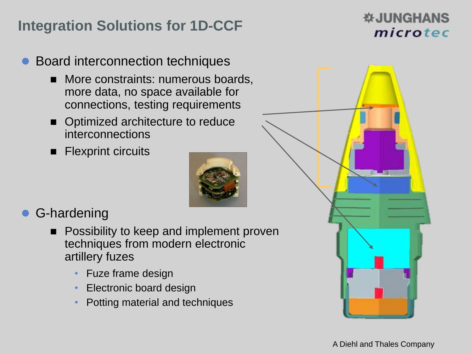# **Integration Solutions for 1D-CCF**

#### **WJUNGHANS** microtec

- Board interconnection techniques
	- **More constraints: numerous boards,** more data, no space available for connections, testing requirements
	- Optimized architecture to reduce interconnections
	- Flexprint circuits



# G-hardening

- **Possibility to keep and implement proven** techniques from modern electronic artillery fuzes
	- Fuze frame design
	- Electronic board design
	- Potting material and techniques

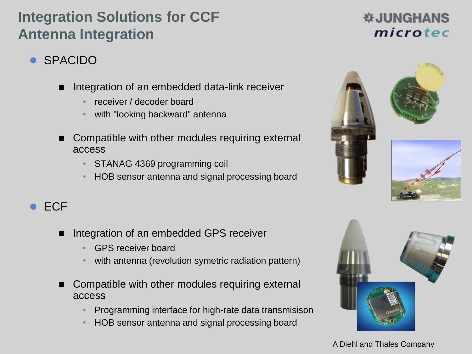# **Integration Solutions for CCF Antenna Integration**

#### **WJUNGHANS** microtec

- SPACIDO
	- Integration of an embedded data-link receiver
		- receiver / decoder board
		- with "looking backward" antenna
	- Compatible with other modules requiring external access
		- STANAG 4369 programming coil
		- HOB sensor antenna and signal processing board





#### $\bullet$  FCF

- Integration of an embedded GPS receiver
	- GPS receiver board
	- with antenna (revolution symetric radiation pattern)
- Compatible with other modules requiring external access
	- Programming interface for high-rate data transmisison
	- HOB sensor antenna and signal processing board

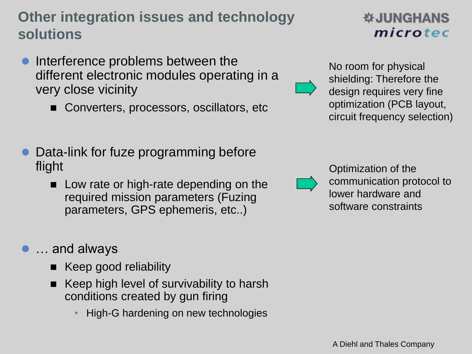# **Other integration issues and technology solutions**

- Interference problems between the different electronic modules operating in a very close vicinity
	- Converters, processors, oscillators, etc
- Data-link for fuze programming before flight
	- **Low rate or high-rate depending on the** required mission parameters (Fuzing parameters, GPS ephemeris, etc..)

#### ● … and always

- Keep good reliability
- Keep high level of survivability to harsh conditions created by gun firing
	- High-G hardening on new technologies

#### **WJUNGHANS** microtec

No room for physical shielding: Therefore the design requires very fine optimization (PCB layout, circuit frequency selection)



Optimization of the communication protocol to lower hardware and software constraints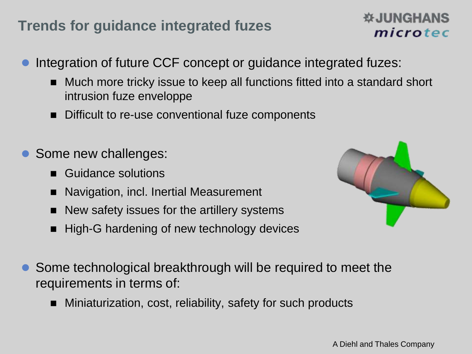# **Trends for guidance integrated fuzes**

- Integration of future CCF concept or guidance integrated fuzes:
	- Much more tricky issue to keep all functions fitted into a standard short intrusion fuze enveloppe
	- Difficult to re-use conventional fuze components
- Some new challenges:
	- Guidance solutions
	- Navigation, incl. Inertial Measurement
	- New safety issues for the artillery systems
	- High-G hardening of new technology devices



- Some technological breakthrough will be required to meet the requirements in terms of:
	- Miniaturization, cost, reliability, safety for such products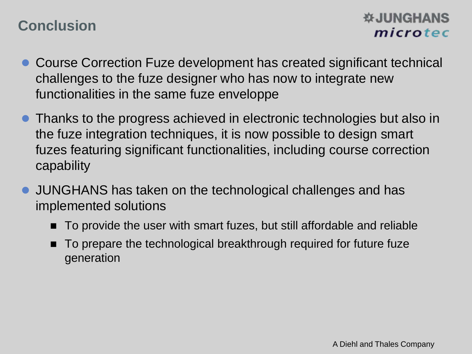# **Conclusion**

- Course Correction Fuze development has created significant technical challenges to the fuze designer who has now to integrate new functionalities in the same fuze enveloppe
- Thanks to the progress achieved in electronic technologies but also in the fuze integration techniques, it is now possible to design smart fuzes featuring significant functionalities, including course correction capability
- JUNGHANS has taken on the technological challenges and has implemented solutions
	- To provide the user with smart fuzes, but still affordable and reliable
	- To prepare the technological breakthrough required for future fuze generation